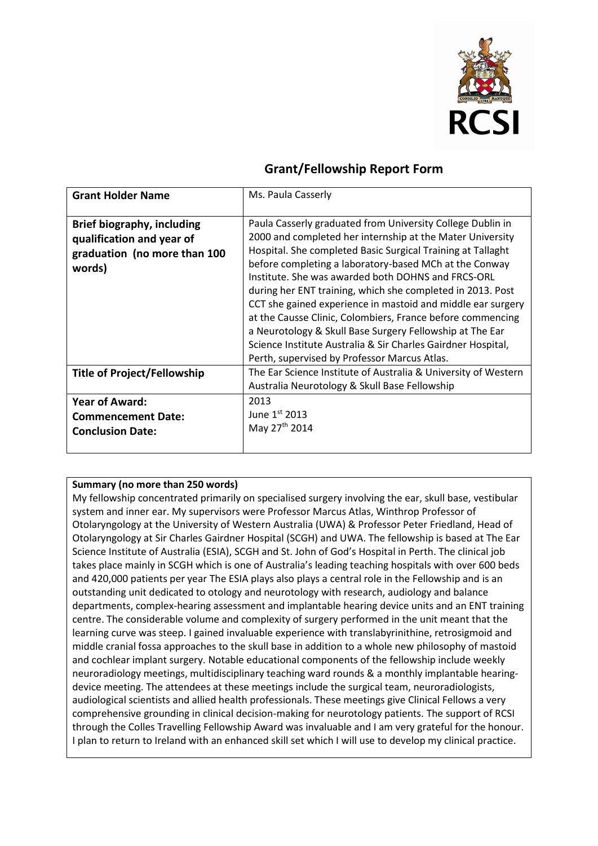

# **Grant/Fellowship Report Form**

| <b>Grant Holder Name</b>                                                                          | Ms. Paula Casserly                                                                                                                                                                                                                                                                                                                                                                                                                                                                                                                                                                                                                                                            |
|---------------------------------------------------------------------------------------------------|-------------------------------------------------------------------------------------------------------------------------------------------------------------------------------------------------------------------------------------------------------------------------------------------------------------------------------------------------------------------------------------------------------------------------------------------------------------------------------------------------------------------------------------------------------------------------------------------------------------------------------------------------------------------------------|
| Brief biography, including<br>qualification and year of<br>graduation (no more than 100<br>words) | Paula Casserly graduated from University College Dublin in<br>2000 and completed her internship at the Mater University<br>Hospital. She completed Basic Surgical Training at Tallaght<br>before completing a laboratory-based MCh at the Conway<br>Institute. She was awarded both DOHNS and FRCS-ORL<br>during her ENT training, which she completed in 2013. Post<br>CCT she gained experience in mastoid and middle ear surgery<br>at the Causse Clinic, Colombiers, France before commencing<br>a Neurotology & Skull Base Surgery Fellowship at The Ear<br>Science Institute Australia & Sir Charles Gairdner Hospital,<br>Perth, supervised by Professor Marcus Atlas. |
| <b>Title of Project/Fellowship</b>                                                                | The Ear Science Institute of Australia & University of Western<br>Australia Neurotology & Skull Base Fellowship                                                                                                                                                                                                                                                                                                                                                                                                                                                                                                                                                               |
| <b>Year of Award:</b><br><b>Commencement Date:</b><br><b>Conclusion Date:</b>                     | 2013<br>June $1st$ 2013<br>May 27 <sup>th</sup> 2014                                                                                                                                                                                                                                                                                                                                                                                                                                                                                                                                                                                                                          |

## **Summary (no more than 250 words)**

My fellowship concentrated primarily on specialised surgery involving the ear, skull base, vestibular system and inner ear. My supervisors were Professor Marcus Atlas, Winthrop Professor of Otolaryngology at the University of Western Australia (UWA) & Professor Peter Friedland, Head of Otolaryngology at Sir Charles Gairdner Hospital (SCGH) and UWA. The fellowship is based at The Ear Science Institute of Australia (ESIA), SCGH and St. John of God's Hospital in Perth. The clinical job takes place mainly in SCGH which is one of Australia's leading teaching hospitals with over 600 beds and 420,000 patients per year The ESIA plays also plays a central role in the Fellowship and is an outstanding unit dedicated to otology and neurotology with research, audiology and balance departments, complex-hearing assessment and implantable hearing device units and an ENT training centre. The considerable volume and complexity of surgery performed in the unit meant that the learning curve was steep. I gained invaluable experience with translabyrinithine, retrosigmoid and middle cranial fossa approaches to the skull base in addition to a whole new philosophy of mastoid and cochlear implant surgery. Notable educational components of the fellowship include weekly neuroradiology meetings, multidisciplinary teaching ward rounds & a monthly implantable hearingdevice meeting. The attendees at these meetings include the surgical team, neuroradiologists, audiological scientists and allied health professionals. These meetings give Clinical Fellows a very comprehensive grounding in clinical decision-making for neurotology patients. The support of RCSI through the Colles Travelling Fellowship Award was invaluable and I am very grateful for the honour. I plan to return to Ireland with an enhanced skill set which I will use to develop my clinical practice.